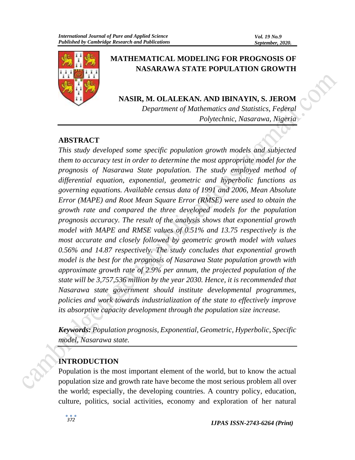

# **MATHEMATICAL MODELING FOR PROGNOSIS OF NASARAWA STATE POPULATION GROWTH**

**NASIR, M. OLALEKAN. AND IBINAYIN, S. JEROM**

*Department of Mathematics and Statistics, Federal Polytechnic, Nasarawa, Nigeria*

# **ABSTRACT**

*This study developed some specific population growth models and subjected them to accuracy test in order to determine the most appropriate model for the prognosis of Nasarawa State population. The study employed method of differential equation, exponential, geometric and hyperbolic functions as governing equations. Available census data of 1991 and 2006, Mean Absolute Error (MAPE) and Root Mean Square Error (RMSE) were used to obtain the growth rate and compared the three developed models for the population prognosis accuracy. The result of the analysis shows that exponential growth model with MAPE and RMSE values of 0.51% and 13.75 respectively is the most accurate and closely followed by geometric growth model with values 0.56% and 14.87 respectively. The study concludes that exponential growth model is the best for the prognosis of Nasarawa State population growth with approximate growth rate of 2.9% per annum, the projected population of the state will be 3,757,536 million by the year 2030. Hence, it is recommended that Nasarawa state government should institute developmental programmes, policies and work towards industrialization of the state to effectively improve its absorptive capacity development through the population size increase.*

*Keywords: Population prognosis, Exponential, Geometric, Hyperbolic, Specific model, Nasarawa state.* 

# **INTRODUCTION**

Population is the most important element of the world, but to know the actual population size and growth rate have become the most serious problem all over the world; especially, the developing countries. A country policy, education, culture, politics, social activities, economy and exploration of her natural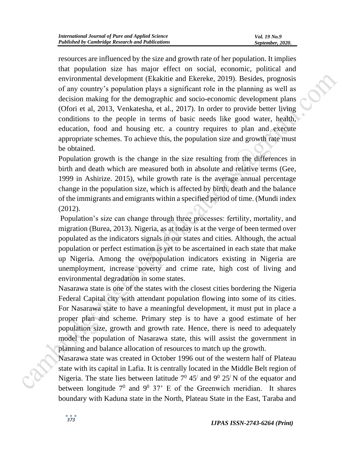resources are influenced by the size and growth rate of her population. It implies that population size has major effect on social, economic, political and environmental development (Ekakitie and Ekereke, 2019). Besides, prognosis of any country's population plays a significant role in the planning as well as decision making for the demographic and socio-economic development plans (Ofori et al, 2013, Venkatesha, et al., 2017). In order to provide better living conditions to the people in terms of basic needs like good water, health, education, food and housing etc. a country requires to plan and execute appropriate schemes. To achieve this, the population size and growth rate must be obtained.

Population growth is the change in the size resulting from the differences in birth and death which are measured both in absolute and relative terms (Gee, 1999 in Ashirize. 2015), while growth rate is the average annual percentage change in the population size, which is affected by birth, death and the balance of the immigrants and emigrants within a specified period of time. (Mundi index (2012).

Population's size can change through three processes: fertility, mortality, and migration (Burea, 2013). Nigeria, as at today is at the verge of been termed over populated as the indicators signals in our states and cities. Although, the actual population or perfect estimation is yet to be ascertained in each state that make up Nigeria. Among the overpopulation indicators existing in Nigeria are unemployment, increase poverty and crime rate, high cost of living and environmental degradation in some states.

Nasarawa state is one of the states with the closest cities bordering the Nigeria Federal Capital city with attendant population flowing into some of its cities. For Nasarawa state to have a meaningful development, it must put in place a proper plan and scheme. Primary step is to have a good estimate of her population size, growth and growth rate. Hence, there is need to adequately model the population of Nasarawa state, this will assist the government in planning and balance allocation of resources to match up the growth.

Nasarawa state was created in October 1996 out of the western half of Plateau state with its capital in Lafia. It is centrally located in the Middle Belt region of Nigeria. The state lies between latitude  $7^0$  45<sup> $\prime$ </sup> and  $9^0$  25<sup> $\prime$ </sup>N of the equator and between longitude  $7^0$  and  $9^0$  37' E of the Greenwich meridian. It shares boundary with Kaduna state in the North, Plateau State in the East, Taraba and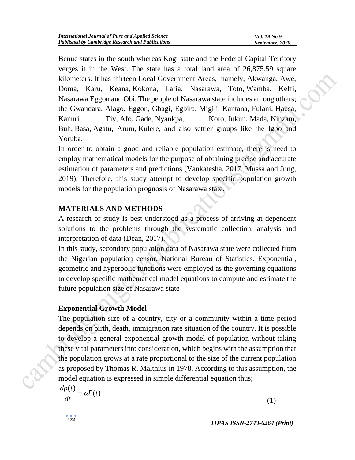Benue states in the south whereas Kogi state and the Federal Capital Territory verges it in the West. The state has a total land area of 26,875.59 square kilometers. It has thirteen Local Government Areas, namely, Akwanga, Awe, Doma, Karu, Keana, Kokona, Lafia, Nasarawa, Toto, Wamba, Keffi, Nasarawa Eggon and Obi. The people of Nasarawa state includes among others; the Gwandara, Alago, Eggon, Gbagi, Egbira, Migili, Kantana, Fulani, Hausa, Kanuri, Tiv, Afo, Gade, Nyankpa, Koro, Jukun, Mada, Ninzam, Buh, Basa, Agatu, Arum, Kulere, and also settler groups like the Igbo and Yoruba.

In order to obtain a good and reliable population estimate, there is need to employ mathematical models for the purpose of obtaining precise and accurate estimation of parameters and predictions (Vankatesha, 2017, Mussa and Jung, 2019). Therefore, this study attempt to develop specific population growth models for the population prognosis of Nasarawa state.

### **MATERIALS AND METHODS**

A research or study is best understood as a process of arriving at dependent solutions to the problems through the systematic collection, analysis and interpretation of data (Dean, 2017).

In this study, secondary population data of Nasarawa state were collected from the Nigerian population censor, National Bureau of Statistics. Exponential, geometric and hyperbolic functions were employed as the governing equations to develop specific mathematical model equations to compute and estimate the future population size of Nasarawa state

### **Exponential Growth Model**

The population size of a country, city or a community within a time period depends on birth, death, immigration rate situation of the country. It is possible to develop a general exponential growth model of population without taking these vital parameters into consideration, which begins with the assumption that the population grows at a rate proportional to the size of the current population as proposed by Thomas R. Malthius in 1978. According to this assumption, the model equation is expressed in simple differential equation thus;

$$
\frac{dp(t)}{dt} = \alpha P(t) \tag{1}
$$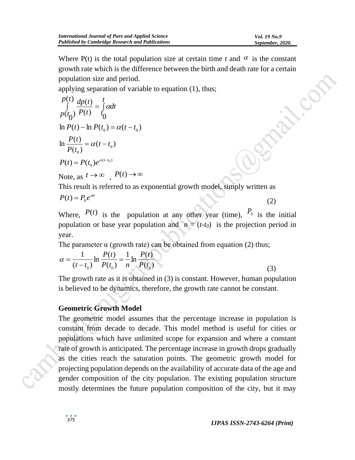(2)

Where  $P(t)$  is the total population size at certain time *t* and  $\alpha$  is the constant growth rate which is the difference between the birth and death rate for a certain population size and period.

applying separation of variable to equation (1), thus;

$$
\int_{0}^{p(t)} \frac{dp(t)}{P(t)} = \int_{0}^{t} \alpha dt
$$
\n
$$
\ln P(t) - \ln P(t_0) = \alpha(t - t_0)
$$
\n
$$
\ln \frac{P(t)}{P(t_0)} = \alpha(t - t_0)
$$
\n
$$
P(t) = P(t_0)e^{\alpha(t - t_0)}
$$
\nNote, as  $t \to \infty$ ,  $P(t) \to \infty$   
\nThis result is referred to as exponential growth model, simply written as

$$
P(t) = P_0 e^{\alpha n}
$$

Where,  $P(t)$  is the population at any other year (time),  $P_0$  is the initial population or base year population and  $n = (t-t_0)$  is the projection period in year.

The parameter  $\alpha$  (growth rate) can be obtained from equation (2) thus;

$$
\alpha = \frac{1}{(t - t_0)} \ln \frac{P(t)}{P(t_0)} = \frac{1}{n} \ln \frac{P(t)}{P(t_0)}
$$
\n(3)

The growth rate as it is obtained in (3) is constant. However, human population is believed to be dynamics, therefore, the growth rate cannot be constant.

# **Geometric Growth Model**

The geometric model assumes that the percentage increase in population is constant from decade to decade. This model method is useful for cities or populations which have unlimited scope for expansion and where a constant rate of growth is anticipated. The percentage increase in growth drops gradually as the cities reach the saturation points. The geometric growth model for projecting population depends on the availability of accurate data of the age and gender composition of the city population. The existing population structure mostly determines the future population composition of the city, but it may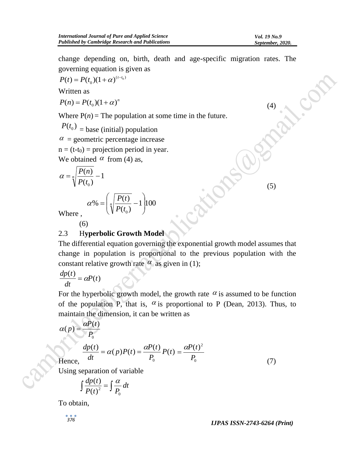(4)

(5)

change depending on, birth, death and age-specific migration rates. The governing equation is given as

$$
P(t) = P(t_0)(1+\alpha)^{(t-t_0)}
$$

Written as

 $P(n) = P(t_0)(1+\alpha)^n$ 

Where  $P(n)$  = The population at some time in the future.

1 |100

 $\int$ 

 $\setminus$ 

 $P(t_0)$  = base (initial) population

 $\alpha$  = geometric percentage increase

 $n = (t-t<sub>0</sub>)$  = projection period in year.

We obtained  $\alpha$  from (4) as,

$$
\alpha = \sqrt[n]{\frac{P(n)}{P(t_0)}} - 1
$$
\n
$$
\alpha\% = \left(\sqrt[n]{\frac{P(t)}{P(t_0)}} - 1\right)
$$
\nWhere

Where ,

(6)

#### 2.3 H**yperbolic Growth Model**

 $\setminus$ 

 $(t_{0})$ 

*P t*

The differential equation governing the exponential growth model assumes that change in population is proportional to the previous population with the constant relative growth rate  $\alpha$  as given in (1);

$$
\frac{dp(t)}{dt} = \alpha P(t)
$$

For the hyperbolic growth model, the growth rate  $\alpha$  is assumed to be function of the population P, that is,  $\alpha$  is proportional to P (Dean, 2013). Thus, to maintain the dimension, it can be written as

$$
\alpha(p) = \frac{\alpha P(t)}{P_0}
$$

$$
\frac{dp(t)}{dt} = \alpha(p)P(t) = \frac{\alpha P(t)}{P_0}P(t) = \frac{\alpha P(t)^2}{P_0}
$$
\n(7)

Using separation of variable

$$
\int \frac{dp(t)}{P(t)^2} = \int \frac{\alpha}{P_0} dt
$$

To obtain,

*IJPAS ISSN-2743-6264 (Print) <sup>376</sup>*

Hence,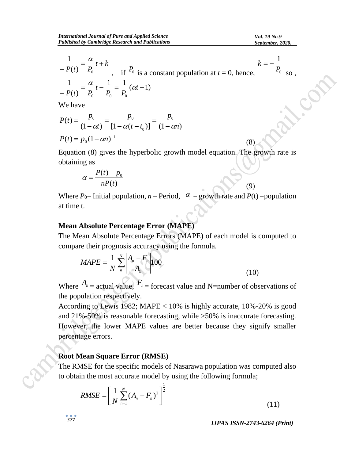(8)

(9)

$$
\frac{1}{-P(t)} = \frac{\alpha}{P_0} t + k
$$
\n
$$
\frac{1}{-P(t)} = \frac{\alpha}{P_0} t - \frac{1}{P_0} = \frac{1}{P_0} (\alpha t - 1)
$$
\n
$$
k = -\frac{1}{P_0} k - \frac{1}{P_0} = \frac{1}{P_0} (\alpha t - 1)
$$
\nwhere,  $k = -\frac{1}{P_0}$  is a constant population at  $t = 0$ , hence,

We have

$$
P(t) = \frac{p_0}{(1 - \alpha t)} = \frac{p_0}{[1 - \alpha (t - t_0)]} = \frac{p_0}{(1 - \alpha n)}
$$

$$
P(t) = p_0 (1 - \alpha n)^{-1}
$$

Equation (8) gives the hyperbolic growth model equation. The growth rate is obtaining as

$$
\alpha = \frac{P(t) - p_0}{nP(t)}
$$

Where  $P_0$ = Initial population,  $n$  = Period,  $\alpha$  = growth rate and  $P(t)$  = population at time t.

#### **Mean Absolute Percentage Error (MAPE)**

The Mean Absolute Percentage Errors (MAPE) of each model is computed to compare their prognosis accuracy using the formula.

$$
MAPE = \frac{1}{N} \sum_{n}^{N} \left| \frac{A_n - F_n}{A_n} \right| 100
$$
 (10)

Where  $A_n$  = actual value,  $F_n$  = forecast value and N=number of observations of the population respectively.

According to Lewis 1982; MAPE < 10% is highly accurate, 10%-20% is good and 21%-50% is reasonable forecasting, while >50% is inaccurate forecasting. However, the lower MAPE values are better because they signify smaller percentage errors.

#### **Root Mean Square Error (RMSE)**

The RMSE for the specific models of Nasarawa population was computed also to obtain the most accurate model by using the following formula;

$$
RMSE = \left[\frac{1}{N} \sum_{n=1}^{N} (A_n - F_n)^2\right]^{\frac{1}{2}}
$$
\n(11)

*IJPAS ISSN-2743-6264 (Print) <sup>377</sup>*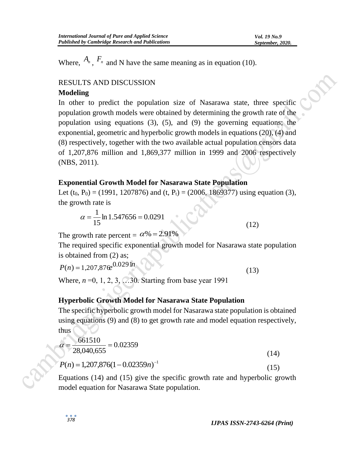Where,  $A_n$ ,  $F_n$  and N have the same meaning as in equation (10).

### RESULTS AND DISCUSSION

#### **Modeling**

In other to predict the population size of Nasarawa state, three specific population growth models were obtained by determining the growth rate of the population using equations (3), (5), and (9) the governing equations; the exponential, geometric and hyperbolic growth models in equations (20), (4) and (8) respectively, together with the two available actual population censors data of 1,207,876 million and 1,869,377 million in 1999 and 2006 respectively (NBS, 2011).

### **Exponential Growth Model for Nasarawa State Population**

Let  $(t_0, P_0) = (1991, 1207876)$  and  $(t, P_t) = (2006, 1869377)$  using equation (3), the growth rate is

$$
\alpha = \frac{1}{15} \ln 1.547656 = 0.0291
$$

The growth rate percent =  $\alpha\%$  = 2.91%

The required specific exponential growth model for Nasarawa state population is obtained from (2) as;

$$
P(n) = 1,207,876e^{0.029 \ln (n)} \tag{13}
$$

Where, *n* = 0, 1, 2, 3, ... 30. Starting from base year 1991

### **Hyperbolic Growth Model for Nasarawa State Population**

The specific hyperbolic growth model for Nasarawa state population is obtained using equations (9) and (8) to get growth rate and model equation respectively, thus

$$
\alpha = \frac{661510}{28,040,655} = 0.02359
$$
\n
$$
P(n) = 1,207,876(1 - 0.02359n)^{-1}
$$
\n(15)

Equations (14) and (15) give the specific growth rate and hyperbolic growth model equation for Nasarawa State population.

(12)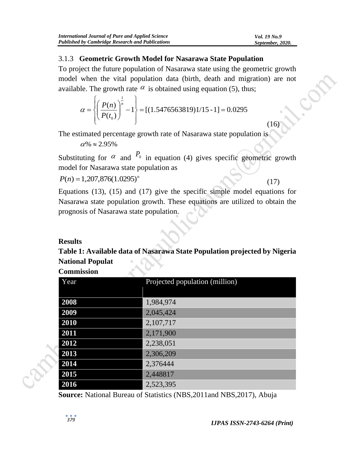#### 3.1.3 **Geometric Growth Model for Nasarawa State Population**

To project the future population of Nasarawa state using the geometric growth model when the vital population data (birth, death and migration) are not available. The growth rate  $\alpha$  is obtained using equation (5), thus;

$$
\alpha = \left\{ \left( \frac{P(n)}{P(t_0)} \right)^{\frac{1}{n}} - 1 \right\} = [(1.5476563819)1/15 - 1] = 0.0295
$$

The estimated percentage growth rate of Nasarawa state population is

 $\alpha\% \approx 2.95\%$ 

Substituting for  $\alpha$  and  $P_0$  in equation (4) gives specific geometric growth model for Nasarawa state population as

 $P(n) = 1,207,876(1.0295)^n$ 

(17)

 $(16)$ 

Equations (13), (15) and (17) give the specific simple model equations for Nasarawa state population growth. These equations are utilized to obtain the prognosis of Nasarawa state population.

# **Results**

**Table 1: Available data of Nasarawa State Population projected by Nigeria National Populat Commission** 

| Commission |                                |  |  |
|------------|--------------------------------|--|--|
| Year       | Projected population (million) |  |  |
|            |                                |  |  |
| 2008       | 1,984,974                      |  |  |
| 2009       | 2,045,424                      |  |  |
| 2010       | 2,107,717                      |  |  |
| 2011       | 2,171,900                      |  |  |
| 2012       | 2,238,051                      |  |  |
| 2013       | 2,306,209                      |  |  |
| 2014       | 2,376444                       |  |  |
| 2015       | 2,448817                       |  |  |
| 2016       | 2,523,395                      |  |  |

**Source:** National Bureau of Statistics (NBS,2011and NBS,2017), Abuja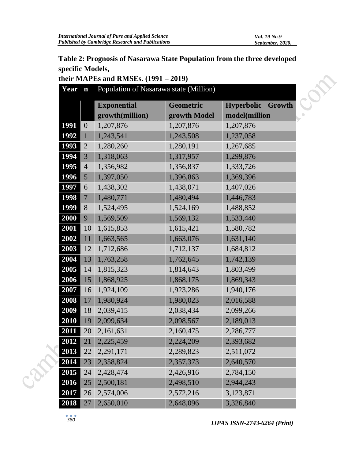# **Table 2: Prognosis of Nasarawa State Population from the three developed specific Models,**

|  | Year | $\mathbf n$      | Population of Nasarawa state (Million) |              |                             |
|--|------|------------------|----------------------------------------|--------------|-----------------------------|
|  |      |                  | <b>Exponential</b>                     | Geometric    | <b>Hyperbolic</b><br>Growth |
|  |      |                  | growth(million)                        | growth Model | model(million               |
|  | 1991 | $\boldsymbol{0}$ | 1,207,876                              | 1,207,876    | 1,207,876                   |
|  | 1992 | $\mathbf{1}$     | 1,243,541                              | 1,243,508    | 1,237,058                   |
|  | 1993 | $\overline{2}$   | 1,280,260                              | 1,280,191    | 1,267,685                   |
|  | 1994 | 3                | 1,318,063                              | 1,317,957    | 1,299,876                   |
|  | 1995 | $\overline{4}$   | 1,356,982                              | 1,356,837    | 1,333,726                   |
|  | 1996 | 5                | 1,397,050                              | 1,396,863    | 1,369,396                   |
|  | 1997 | 6                | 1,438,302                              | 1,438,071    | 1,407,026                   |
|  | 1998 | $\overline{7}$   | 1,480,771                              | 1,480,494    | 1,446,783                   |
|  | 1999 | 8                | 1,524,495                              | 1,524,169    | 1,488,852                   |
|  | 2000 | 9                | 1,569,509                              | 1,569,132    | 1,533,440                   |
|  | 2001 | 10               | 1,615,853                              | 1,615,421    | 1,580,782                   |
|  | 2002 | 11               | 1,663,565                              | 1,663,076    | 1,631,140                   |
|  | 2003 | 12               | 1,712,686                              | 1,712,137    | 1,684,812                   |
|  | 2004 | 13               | 1,763,258                              | 1,762,645    | 1,742,139                   |
|  | 2005 | 14               | 1,815,323                              | 1,814,643    | 1,803,499                   |
|  | 2006 | 15               | 1,868,925                              | 1,868,175    | 1,869,343                   |
|  | 2007 | 16               | 1,924,109                              | 1,923,286    | 1,940,176                   |
|  | 2008 | 17               | 1,980,924                              | 1,980,023    | 2,016,588                   |
|  | 2009 | 18               | 2,039,415                              | 2,038,434    | 2,099,266                   |
|  | 2010 | 19               | 2,099,634                              | 2,098,567    | 2,189,013                   |
|  | 2011 | 20               | 2,161,631                              | 2,160,475    | 2,286,777                   |
|  | 2012 | 21               | 2,225,459                              | 2,224,209    | 2,393,682                   |
|  | 2013 | 22               | 2,291,171                              | 2,289,823    | 2,511,072                   |
|  | 2014 | 23               | 2,358,824                              | 2,357,373    | 2,640,570                   |
|  | 2015 | 24               | 2,428,474                              | 2,426,916    | 2,784,150                   |
|  | 2016 | 25               | 2,500,181                              | 2,498,510    | 2,944,243                   |
|  | 2017 | 26               | 2,574,006                              | 2,572,216    | 3,123,871                   |
|  | 2018 | 27               | 2,650,010                              | 2,648,096    | 3,326,840                   |

### **their MAPEs and RMSEs. (1991 – 2019)**

*IJPAS ISSN-2743-6264 (Print)*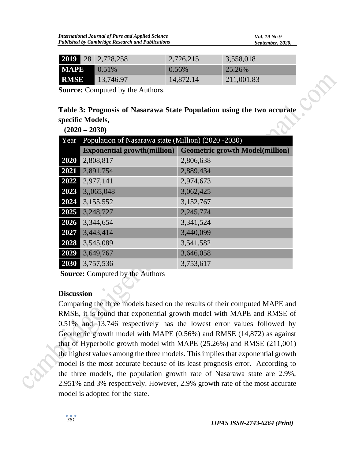|             | 2019 28 2,728,258     | 2,726,215 | 3,558,018  |
|-------------|-----------------------|-----------|------------|
|             | $\textbf{MAPE}$ 0.51% | $0.56\%$  | 25.26%     |
| <b>RMSE</b> | 13,746.97             | 14,872.14 | 211,001.83 |

| <b>2019</b> 28                                                         |  | 2.728.258                               | 2, 720, 215 | 3,558,018  |  |
|------------------------------------------------------------------------|--|-----------------------------------------|-------------|------------|--|
| <b>MAPE</b>                                                            |  | 0.51%                                   | 0.56%       | 25.26%     |  |
| <b>RMSE</b>                                                            |  | 13,746.97                               | 14,872.14   | 211,001.83 |  |
|                                                                        |  | <b>Source:</b> Computed by the Authors. |             |            |  |
| Table 3: Prognosis of Nasarawa State Population using the two accurate |  |                                         |             |            |  |
| specific Models,                                                       |  |                                         |             |            |  |
| $(2020 - 2030)$                                                        |  |                                         |             |            |  |

| $(2020 - 2030)$ |                                                      |                                                                    |  |  |
|-----------------|------------------------------------------------------|--------------------------------------------------------------------|--|--|
| Year            | Population of Nasarawa state (Million) (2020 - 2030) |                                                                    |  |  |
|                 |                                                      | <b>Exponential growth(million)</b> Geometric growth Model(million) |  |  |
| 2020            | 2,808,817                                            | 2,806,638                                                          |  |  |
| 2021            | 2,891,754                                            | 2,889,434                                                          |  |  |
| 2022            | 2,977,141                                            | 2,974,673                                                          |  |  |
| 2023            | 3,,065,048                                           | 3,062,425                                                          |  |  |
| 2024            | 3,155,552                                            | 3,152,767                                                          |  |  |
| 2025            | 3,248,727                                            | 2,245,774                                                          |  |  |
| 2026            | 3,344,654                                            | 3,341,524                                                          |  |  |
| 2027            | 3,443,414                                            | 3,440,099                                                          |  |  |
| 2028            | 3,545,089                                            | 3,541,582                                                          |  |  |
| 2029            | 3,649,767                                            | 3,646,058                                                          |  |  |
| 2030            | 3,757,536                                            | 3,753,617                                                          |  |  |

**Source:** Computed by the Authors

#### **Discussion**

Comparing the three models based on the results of their computed MAPE and RMSE, it is found that exponential growth model with MAPE and RMSE of 0.51% and 13.746 respectively has the lowest error values followed by Geometric growth model with MAPE (0.56%) and RMSE (14,872) as against that of Hyperbolic growth model with MAPE (25.26%) and RMSE (211,001) the highest values among the three models. This implies that exponential growth model is the most accurate because of its least prognosis error. According to the three models, the population growth rate of Nasarawa state are 2.9%, 2.951% and 3% respectively. However, 2.9% growth rate of the most accurate model is adopted for the state.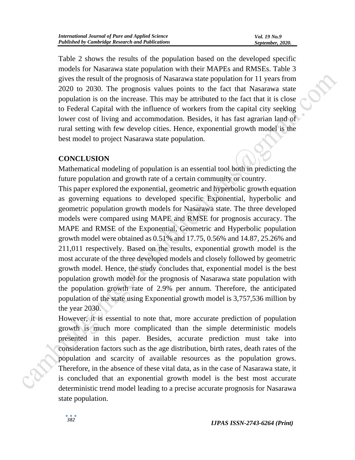Table 2 shows the results of the population based on the developed specific models for Nasarawa state population with their MAPEs and RMSEs. Table 3 gives the result of the prognosis of Nasarawa state population for 11 years from 2020 to 2030. The prognosis values points to the fact that Nasarawa state population is on the increase. This may be attributed to the fact that it is close to Federal Capital with the influence of workers from the capital city seeking lower cost of living and accommodation. Besides, it has fast agrarian land of rural setting with few develop cities. Hence, exponential growth model is the best model to project Nasarawa state population.

### **CONCLUSION**

Mathematical modeling of population is an essential tool both in predicting the future population and growth rate of a certain community or country.

This paper explored the exponential, geometric and hyperbolic growth equation as governing equations to developed specific Exponential, hyperbolic and geometric population growth models for Nasarawa state. The three developed models were compared using MAPE and RMSE for prognosis accuracy. The MAPE and RMSE of the Exponential, Geometric and Hyperbolic population growth model were obtained as 0.51% and 17.75, 0.56% and 14.87, 25.26% and 211,011 respectively. Based on the results, exponential growth model is the most accurate of the three developed models and closely followed by geometric growth model. Hence, the study concludes that, exponential model is the best population growth model for the prognosis of Nasarawa state population with the population growth rate of 2.9% per annum. Therefore, the anticipated population of the state using Exponential growth model is 3,757,536 million by the year 2030.

However, it is essential to note that, more accurate prediction of population growth is much more complicated than the simple deterministic models presented in this paper. Besides, accurate prediction must take into consideration factors such as the age distribution, birth rates, death rates of the population and scarcity of available resources as the population grows. Therefore, in the absence of these vital data, as in the case of Nasarawa state, it is concluded that an exponential growth model is the best most accurate deterministic trend model leading to a precise accurate prognosis for Nasarawa state population.